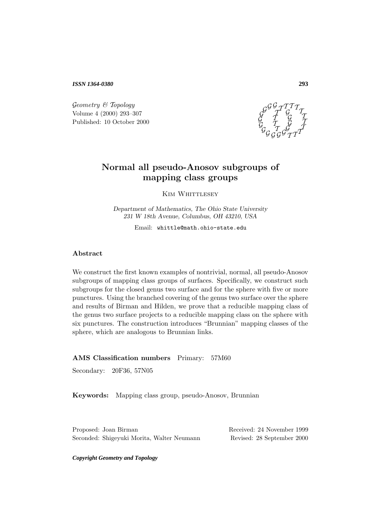*ISSN 1364-0380*

 $Geometry \& Topology$ Volume 4 (2000) 293–307 Published: 10 October 2000



# **Normal all pseudo-Anosov subgroups of mapping class groups**

KIM WHITTLESEY

*Department of Mathematics, The Ohio State University 231 W 18th Avenue, Columbus, OH 43210, USA*

Email: whittle@math.ohio-state.edu

### **Abstract**

We construct the first known examples of nontrivial, normal, all pseudo-Anosov subgroups of mapping class groups of surfaces. Specifically, we construct such subgroups for the closed genus two surface and for the sphere with five or more punctures. Using the branched covering of the genus two surface over the sphere and results of Birman and Hilden, we prove that a reducible mapping class of the genus two surface projects to a reducible mapping class on the sphere with six punctures. The construction introduces "Brunnian" mapping classes of the sphere, which are analogous to Brunnian links.

#### **AMS Classification numbers** Primary: 57M60

Secondary: 20F36, 57N05

**Keywords:** Mapping class group, pseudo-Anosov, Brunnian

Proposed: Joan Birman Received: 24 November 1999 Seconded: Shigeyuki Morita, Walter Neumann Revised: 28 September 2000

*Copyright Geometry and Topology*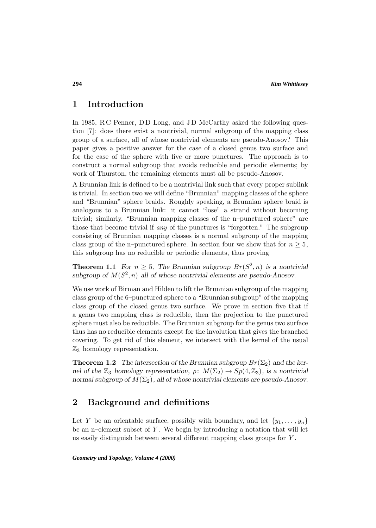## **1 Introduction**

In 1985, R C Penner, D D Long, and J D McCarthy asked the following question [7]: does there exist a nontrivial, normal subgroup of the mapping class group of a surface, all of whose nontrivial elements are pseudo-Anosov? This paper gives a positive answer for the case of a closed genus two surface and for the case of the sphere with five or more punctures. The approach is to construct a normal subgroup that avoids reducible and periodic elements; by work of Thurston, the remaining elements must all be pseudo-Anosov.

A Brunnian link is defined to be a nontrivial link such that every proper sublink is trivial. In section two we will define "Brunnian" mapping classes of the sphere and "Brunnian" sphere braids. Roughly speaking, a Brunnian sphere braid is analogous to a Brunnian link: it cannot "lose" a strand without becoming trivial; similarly, "Brunnian mapping classes of the n–punctured sphere" are those that become trivial if any of the punctures is "forgotten." The subgroup consisting of Brunnian mapping classes is a normal subgroup of the mapping class group of the n–punctured sphere. In section four we show that for  $n \geq 5$ , this subgroup has no reducible or periodic elements, thus proving

**Theorem 1.1** *For*  $n \geq 5$ *, The Brunnian subgroup*  $Br(S^2, n)$  *is a nontrivial* subgroup of  $M(S^2, n)$  all of whose nontrivial elements are pseudo-Anosov.

We use work of Birman and Hilden to lift the Brunnian subgroup of the mapping class group of the 6–punctured sphere to a "Brunnian subgroup" of the mapping class group of the closed genus two surface. We prove in section five that if a genus two mapping class is reducible, then the projection to the punctured sphere must also be reducible. The Brunnian subgroup for the genus two surface thus has no reducible elements except for the involution that gives the branched covering. To get rid of this element, we intersect with the kernel of the usual  $\mathbb{Z}_3$  homology representation.

**Theorem 1.2** *The intersection of the Brunnian subgroup*  $Br(\Sigma_2)$  *and the kernel of the*  $\mathbb{Z}_3$  *homology representation,*  $\rho: M(\Sigma_2) \to Sp(4, \mathbb{Z}_3)$ *, is a nontrivial normal subgroup of*  $M(\Sigma_2)$ , all of whose nontrivial elements are pseudo-Anosov.

# **2 Background and definitions**

Let Y be an orientable surface, possibly with boundary, and let  $\{y_1, \ldots, y_n\}$ be an n–element subset of  $Y$ . We begin by introducing a notation that will let us easily distinguish between several different mapping class groups for Y .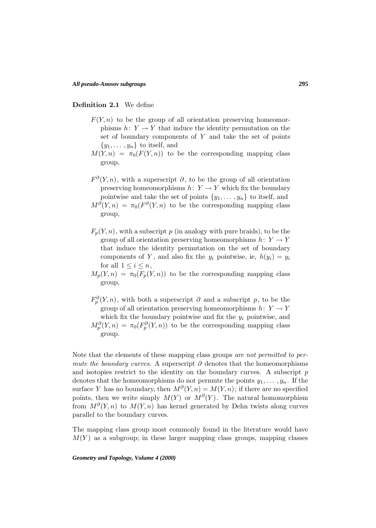#### **Definition 2.1** We define

- $F(Y, n)$  to be the group of all orientation preserving homeomorphisms  $h: Y \to Y$  that induce the identity permutation on the set of boundary components of  $Y$  and take the set of points  $\{y_1,\ldots,y_n\}$  to itself, and
- $M(Y,n) = \pi_0(F(Y,n))$  to be the corresponding mapping class group,
- $F^{\partial}(Y,n)$ , with a superscript  $\partial$ , to be the group of all orientation preserving homeomorphisms  $h: Y \to Y$  which fix the boundary pointwise and take the set of points  $\{y_1, \ldots, y_n\}$  to itself, and  $M^{\partial}(Y,n) = \pi_0(F^{\partial}(Y,n))$  to be the corresponding mapping class group,
- $F_p(Y, n)$ , with a subscript p (in analogy with pure braids), to be the group of all orientation preserving homeomorphisms  $h: Y \to Y$ that induce the identity permutation on the set of boundary components of Y, and also fix the  $y_i$  pointwise, ie,  $h(y_i) = y_i$ for all  $1 \leq i \leq n$ ,
- $M_n(Y,n) = \pi_0(F_n(Y,n))$  to be the corresponding mapping class group,
- $F_p^{\partial}(Y,n)$ , with both a superscript  $\partial$  and a subscript  $p$ , to be the group of all orientation preserving homeomorphisms  $h: Y \to Y$ which fix the boundary pointwise and fix the  $y_i$  pointwise, and  $M_p^{\partial}(Y,n) = \pi_0(F_p^{\partial}(Y,n))$  to be the corresponding mapping class group.

Note that the elements of these mapping class groups are not permitted to permute the boundary curves. A superscript  $\partial$  denotes that the homeomorphisms and isotopies restrict to the identity on the boundary curves. A subscript  $p$ denotes that the homeomorphisms do not permute the points  $y_1, \ldots, y_n$ . If the surface Y has no boundary, then  $M^{\partial}(Y,n) = M(Y,n)$ ; if there are no specified points, then we write simply  $M(Y)$  or  $M^{\partial}(Y)$ . The natural homomorphism from  $M^{\partial}(Y,n)$  to  $M(Y,n)$  has kernel generated by Dehn twists along curves parallel to the boundary curves.

The mapping class group most commonly found in the literature would have  $M(Y)$  as a subgroup; in these larger mapping class groups, mapping classes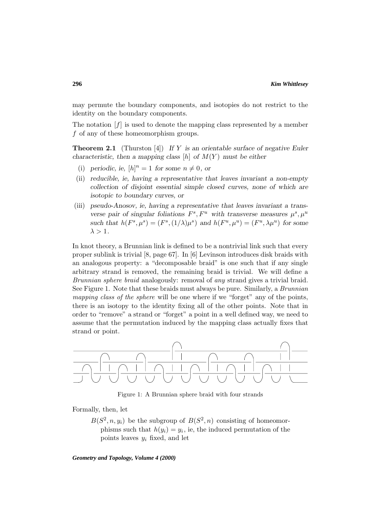may permute the boundary components, and isotopies do not restrict to the identity on the boundary components.

The notation  $[f]$  is used to denote the mapping class represented by a member f of any of these homeomorphism groups.

**Theorem 2.1** (Thurston [4]) *If* Y *is an orientable surface of negative Euler characteristic, then a mapping class*  $[h]$  *of*  $M(Y)$  *must be either* 

- (i) periodic, ie,  $[h]^n = 1$  for some  $n \neq 0$ , or
- (ii) *reducible, ie, having a representative that leaves invariant a non-empty collection of disjoint essential simple closed curves, none of which are isotopic to boundary curves, or*
- (iii) *pseudo-Anosov, ie, having a representative that leaves invariant a transverse pair of singular foliations*  $F^s$ ,  $F^u$  *with transverse measures*  $\mu^s$ ,  $\mu^u$ *such that*  $h(F^s, \mu^s) = (F^s, (1/\lambda)\mu^s)$  *and*  $h(F^u, \mu^u) = (F^u, \lambda\mu^u)$  *for some*  $\lambda > 1$ .

In knot theory, a Brunnian link is defined to be a nontrivial link such that every proper sublink is trivial [8, page 67]. In [6] Levinson introduces disk braids with an analogous property: a "decomposable braid" is one such that if any single arbitrary strand is removed, the remaining braid is trivial. We will define a Brunnian sphere braid analogously: removal of any strand gives a trivial braid. See Figure 1. Note that these braids must always be pure. Similarly, a *Brunnian* mapping class of the sphere will be one where if we "forget" any of the points, there is an isotopy to the identity fixing all of the other points. Note that in order to "remove" a strand or "forget" a point in a well defined way, we need to assume that the permutation induced by the mapping class actually fixes that strand or point.



Figure 1: A Brunnian sphere braid with four strands

Formally, then, let

 $B(S^2, n, y_i)$  be the subgroup of  $B(S^2, n)$  consisting of homeomorphisms such that  $h(y_i) = y_i$ , ie, the induced permutation of the points leaves  $y_i$  fixed, and let

*Geometry and Topology, Volume 4 (2000)*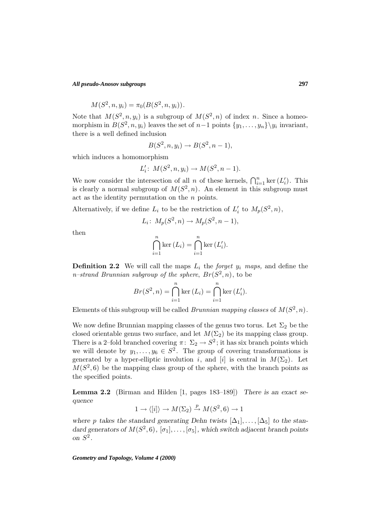*All pseudo-Anosov subgroups*

$$
M(S^2, n, y_i) = \pi_0(B(S^2, n, y_i)).
$$

Note that  $M(S^2, n, y_i)$  is a subgroup of  $M(S^2, n)$  of index n. Since a homeomorphism in  $B(S^2, n, y_i)$  leaves the set of  $n-1$  points  $\{y_1, \ldots, y_n\} \backslash y_i$  invariant, there is a well defined inclusion

$$
B(S^2, n, y_i) \rightarrow B(S^2, n-1),
$$

which induces a homomorphism

$$
L_i': M(S^2, n, y_i) \to M(S^2, n-1).
$$

We now consider the intersection of all *n* of these kernels,  $\bigcap_{i=1}^n \ker (L'_i)$ . This is clearly a normal subgroup of  $M(S^2, n)$ . An element in this subgroup must act as the identity permutation on the  $n$  points.

Alternatively, if we define  $L_i$  to be the restriction of  $L'_i$  to  $M_p(S^2, n)$ ,

$$
L_i\colon M_p(S^2, n) \to M_p(S^2, n-1),
$$

then

$$
\bigcap_{i=1}^{n} \ker (L_{i}) = \bigcap_{i=1}^{n} \ker (L'_{i}).
$$

**Definition 2.2** We will call the maps  $L_i$  the *forget*  $y_i$  *maps*, and define the n–strand Brunnian subgroup of the sphere,  $Br(S^2, n)$ , to be

$$
Br(S^2, n) = \bigcap_{i=1}^{n} \ker (L_i) = \bigcap_{i=1}^{n} \ker (L'_i).
$$

Elements of this subgroup will be called *Brunnian mapping classes* of  $M(S^2, n)$ .

We now define Brunnian mapping classes of the genus two torus. Let  $\Sigma_2$  be the closed orientable genus two surface, and let  $M(\Sigma_2)$  be its mapping class group. There is a 2–fold branched covering  $\pi: \Sigma_2 \to S^2$ ; it has six branch points which we will denote by  $y_1, \ldots, y_6 \in S^2$ . The group of covering transformations is generated by a hyper-elliptic involution i, and [i] is central in  $M(\Sigma_2)$ . Let  $M(S<sup>2</sup>, 6)$  be the mapping class group of the sphere, with the branch points as the specified points.

**Lemma 2.2** (Birman and Hilden [1, pages 183–189]) *There is an exact sequence*

$$
1 \to \langle [i] \rangle \to M(\Sigma_2) \xrightarrow{p} M(S^2, 6) \to 1
$$

*where* p takes the standard generating Dehn twists  $[\Delta_1], \ldots, [\Delta_5]$  to the stan*dard generators of*  $M(S^2, 6)$ *,*  $[\sigma_1], \ldots, [\sigma_5]$ *, which switch adjacent branch points on* S<sup>2</sup> *.*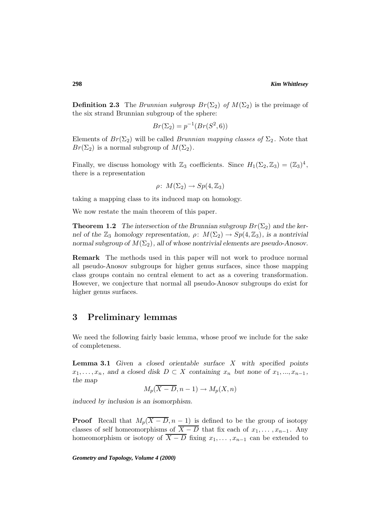**Definition 2.3** The Brunnian subgroup  $Br(\Sigma_2)$  of  $M(\Sigma_2)$  is the preimage of the six strand Brunnian subgroup of the sphere:

$$
Br(\Sigma_2) = p^{-1}(Br(S^2, 6))
$$

Elements of  $Br(\Sigma_2)$  will be called *Brunnian mapping classes of*  $\Sigma_2$ . Note that  $Br(\Sigma_2)$  is a normal subgroup of  $M(\Sigma_2)$ .

Finally, we discuss homology with  $\mathbb{Z}_3$  coefficients. Since  $H_1(\Sigma_2, \mathbb{Z}_3)=(\mathbb{Z}_3)^4$ , there is a representation

$$
\rho\colon\thinspace M(\Sigma_2)\to Sp(4,{\mathbb Z}_3)
$$

taking a mapping class to its induced map on homology.

We now restate the main theorem of this paper.

**Theorem 1.2** *The intersection of the Brunnian subgroup*  $Br(\Sigma_2)$  *and the kernel of the*  $\mathbb{Z}_3$  *homology representation,*  $\rho: M(\Sigma_2) \to Sp(4, \mathbb{Z}_3)$ *, is a nontrivial normal subgroup of*  $M(\Sigma_2)$ , all of whose nontrivial elements are pseudo-Anosov.

**Remark** The methods used in this paper will not work to produce normal all pseudo-Anosov subgroups for higher genus surfaces, since those mapping class groups contain no central element to act as a covering transformation. However, we conjecture that normal all pseudo-Anosov subgroups do exist for higher genus surfaces.

## **3 Preliminary lemmas**

We need the following fairly basic lemma, whose proof we include for the sake of completeness.

**Lemma 3.1** *Given a closed orientable surface* X *with specified points*  $x_1, \ldots, x_n$ , and a closed disk  $D \subset X$  containing  $x_n$  but none of  $x_1, \ldots, x_{n-1}$ , *the map*

$$
M_p(\overline{X-D}, n-1) \to M_p(X, n)
$$

*induced by inclusion is an isomorphism.*

**Proof** Recall that  $M_p(\overline{X-D}, n-1)$  is defined to be the group of isotopy classes of self homeomorphisms of  $\overline{X - D}$  that fix each of  $x_1, \ldots, x_{n-1}$ . Any homeomorphism or isotopy of  $\overline{X - D}$  fixing  $x_1, \ldots, x_{n-1}$  can be extended to

*Geometry and Topology, Volume 4 (2000)*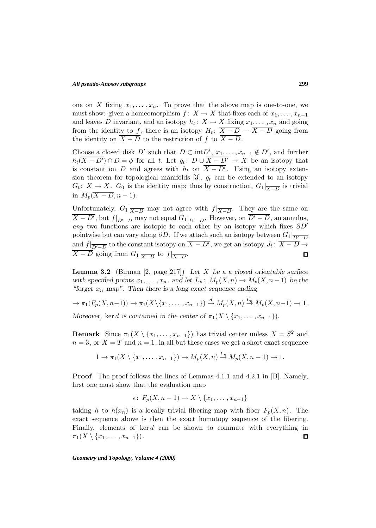#### *All pseudo-Anosov subgroups*

one on X fixing  $x_1, \ldots, x_n$ . To prove that the above map is one-to-one, we must show: given a homeomorphism  $f: X \to X$  that fixes each of  $x_1, \ldots, x_{n-1}$ and leaves D invariant, and an isotopy  $h_t: X \to X$  fixing  $x_1, \ldots, x_n$  and going from the identity to f, there is an isotopy  $H_t: \overline{X-D} \to \overline{X-D}$  going from the identity on  $\overline{X - D}$  to the restriction of f to  $\overline{X - D}$ .

Choose a closed disk D' such that  $D \subset \text{int}D', x_1, \ldots, x_{n-1} \notin D'$ , and further  $h_t(X - D') \cap D = \phi$  for all t. Let  $g_t: D \cup X - D' \to X$  be an isotopy that is constant on D and agrees with  $h_t$  on  $\overline{X - D'}$ . Using an isotopy extension theorem for topological manifolds [3],  $g_t$  can be extended to an isotopy  $G_t: X \to X$ .  $G_0$  is the identity map; thus by construction,  $G_1|_{\overline{X-D}}$  is trivial in  $M_n(\overline{X - D}, n - 1)$ .

Unfortunately,  $G_1|_{\overline{X-D}}$  may not agree with  $f|_{\overline{X-D}}$ . They are the same on  $X - D'$ , but  $f|_{\overline{D'-D}}$  may not equal  $G_1|_{\overline{D'-D}}$ . However, on  $D'-D$ , an annulus, any two functions are isotopic to each other by an isotopy which fixes  $\partial D'$ pointwise but can vary along  $\partial D$ . If we attach such an isotopy between  $G_1|_{\overline{D'-D}}$ and  $f|_{\overline{D'-D}}$  to the constant isotopy on  $X - D'$ , we get an isotopy  $J_t: X - D \to \overline{D' - D}$  $X - D$  going from  $G_1|_{\overline{X-D}}$  to  $f|_{\overline{X-D}}$ .

**Lemma 3.2** (Birman [2, page 217]) *Let* X *be a a closed orientable surface with specified points*  $x_1, \ldots, x_n$ , and let  $L_n: M_p(X, n) \to M_p(X, n-1)$  be the *"forget* x<sup>n</sup> *map". Then there is a long exact sequence ending*

$$
\to \pi_1(F_p(X, n-1)) \to \pi_1(X \setminus \{x_1, \dots, x_{n-1}\}) \xrightarrow{d} M_p(X, n) \xrightarrow{L_n} M_p(X, n-1) \to 1.
$$
  
Moreover, ker *d* is contained in the center of  $\pi_1(X \setminus \{x_1, \dots, x_{n-1}\})$ .

**Remark** Since  $\pi_1(X \setminus \{x_1, \ldots, x_{n-1}\})$  has trivial center unless  $X = S^2$  and  $n = 3$ , or  $X = T$  and  $n = 1$ , in all but these cases we get a short exact sequence

$$
1 \to \pi_1(X \setminus \{x_1, \ldots, x_{n-1}\}) \to M_p(X, n) \stackrel{L_n}{\to} M_p(X, n-1) \to 1.
$$

**Proof** The proof follows the lines of Lemmas 4.1.1 and 4.2.1 in [B]. Namely, first one must show that the evaluation map

$$
\epsilon\colon F_p(X,n-1)\to X\setminus\{x_1,\ldots,x_{n-1}\}\
$$

taking h to  $h(x_n)$  is a locally trivial fibering map with fiber  $F_p(X, n)$ . The exact sequence above is then the exact homotopy sequence of the fibering. Finally, elements of  $\ker d$  can be shown to commute with everything in  $\pi_1(X \setminus \{x_1, \ldots, x_{n-1}\}).$  $\Box$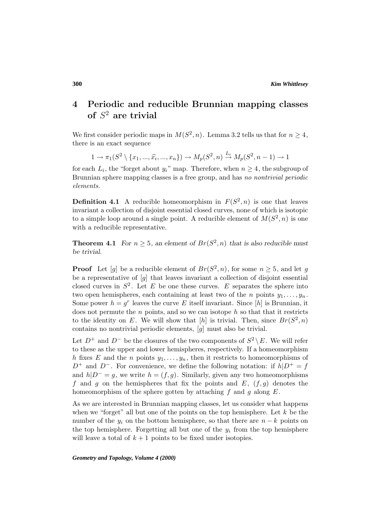# **4 Periodic and reducible Brunnian mapping classes of** S<sup>2</sup> **are trivial**

We first consider periodic maps in  $M(S^2, n)$ . Lemma 3.2 tells us that for  $n \geq 4$ , there is an exact sequence

$$
1 \to \pi_1(S^2 \setminus \{x_1, ..., \hat{x_i}, ..., x_n\}) \to M_p(S^2, n) \stackrel{L_i}{\to} M_p(S^2, n-1) \to 1
$$

for each  $L_i$ , the "forget about  $y_i$ " map. Therefore, when  $n \geq 4$ , the subgroup of Brunnian sphere mapping classes is a free group, and has no nontrivial periodic elements.

**Definition 4.1** A reducible homeomorphism in  $F(S^2, n)$  is one that leaves invariant a collection of disjoint essential closed curves, none of which is isotopic to a simple loop around a single point. A reducible element of  $M(S^2, n)$  is one with a reducible representative.

**Theorem 4.1** *For*  $n \geq 5$ *, an element of*  $Br(S^2, n)$  *that is also reducible must be trivial.*

**Proof** Let [g] be a reducible element of  $Br(S^2, n)$ , for some  $n \geq 5$ , and let g be a representative of  $[q]$  that leaves invariant a collection of disjoint essential closed curves in  $S^2$ . Let E be one these curves. E separates the sphere into two open hemispheres, each containing at least two of the n points  $y_1, \ldots, y_n$ . Some power  $h = g^r$  leaves the curve E itself invariant. Since  $[h]$  is Brunnian, it does not permute the  $n$  points, and so we can isotope  $h$  so that that it restricts to the identity on E. We will show that  $[h]$  is trivial. Then, since  $Br(S^2, n)$ contains no nontrivial periodic elements, [g] must also be trivial.

Let  $D^+$  and  $D^-$  be the closures of the two components of  $S^2 \setminus E$ . We will refer to these as the upper and lower hemispheres, respectively. If a homeomorphism h fixes E and the n points  $y_1, \ldots, y_n$ , then it restricts to homeomorphisms of  $D^+$  and  $D^-$ . For convenience, we define the following notation: if  $h|D^+=f$ and  $h|D^-=g$ , we write  $h=(f,g)$ . Similarly, given any two homeomorphisms f and g on the hemispheres that fix the points and  $E$ ,  $(f, g)$  denotes the homeomorphism of the sphere gotten by attaching  $f$  and  $g$  along  $E$ .

As we are interested in Brunnian mapping classes, let us consider what happens when we "forget" all but one of the points on the top hemisphere. Let  $k$  be the number of the  $y_i$  on the bottom hemisphere, so that there are  $n - k$  points on the top hemisphere. Forgetting all but one of the  $y_i$  from the top hemisphere will leave a total of  $k + 1$  points to be fixed under isotopies.

*Geometry and Topology, Volume 4 (2000)*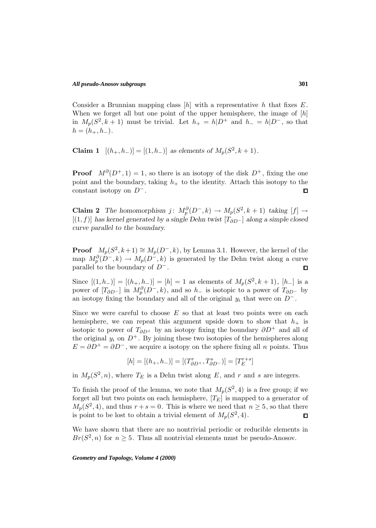Consider a Brunnian mapping class  $[h]$  with a representative h that fixes E. When we forget all but one point of the upper hemisphere, the image of  $[h]$ in  $M_p(S^2, k+1)$  must be trivial. Let  $h_+ = h|D^+$  and  $h_- = h|D^-$ , so that  $h = (h_+, h_-).$ 

**Claim 1**  $[(h_+, h_-)] = [(1, h_-)]$  *as elements of*  $M_p(S^2, k+1)$ *.* 

**Proof**  $M^{\partial}(D^+, 1) = 1$ , so there is an isotopy of the disk  $D^+$ , fixing the one point and the boundary, taking  $h_+$  to the identity. Attach this isotopy to the constant isotopy on  $D^-$ .  $\Box$ 

**Claim 2** *The homomorphism*  $j: M_p^{\partial}(D^-, k) \to M_p(S^2, k+1)$  *taking*  $[f] \to$ [(1, f)] *has kernel generated by a single Dehn twist* [T∂D<sup>−</sup> ] *along a simple closed curve parallel to the boundary.*

**Proof**  $M_p(S^2, k+1) \cong M_p(D^-, k)$ , by Lemma 3.1. However, the kernel of the map  $M_p^{\partial}(D^-, k) \to M_p(D^-, k)$  is generated by the Dehn twist along a curve parallel to the boundary of  $D^-$ .  $\Box$ 

Since  $[(1, h_{-})] = [(h_{+}, h_{-})] = [h] = 1$  as elements of  $M_p(S^2, k+1)$ ,  $[h_{-}]$  is a power of  $[T_{\partial D}$ - ] in  $M_p^{\partial}(D^-, k)$ , and so  $h_-$  is isotopic to a power of  $T_{\partial D^-}$  by an isotopy fixing the boundary and all of the original  $y_i$  that were on  $D^-$ .

Since we were careful to choose  $E$  so that at least two points were on each hemisphere, we can repeat this argument upside down to show that  $h_{+}$  is isotopic to power of  $T_{\partial D^+}$  by an isotopy fixing the boundary  $\partial D^+$  and all of the original  $y_i$  on  $D^+$ . By joining these two isotopies of the hemispheres along  $E = \partial D^{+} = \partial D^{-}$ , we acquire a isotopy on the sphere fixing all n points. Thus

$$
[h] = [(h_+,h_-)] = [(T^r_{\partial D^+},T^s_{\partial D^-})] = [T^{r+s}_E]
$$

in  $M_p(S^2, n)$ , where  $T_E$  is a Dehn twist along E, and r and s are integers.

To finish the proof of the lemma, we note that  $M_p(S^2, 4)$  is a free group; if we forget all but two points on each hemisphere,  $[T_E]$  is mapped to a generator of  $M_p(S^2, 4)$ , and thus  $r + s = 0$ . This is where we need that  $n \geq 5$ , so that there is point to be lost to obtain a trivial element of  $M_p(S^2, 4)$ .  $\Box$ 

We have shown that there are no nontrivial periodic or reducible elements in  $Br(S^2, n)$  for  $n \geq 5$ . Thus all nontrivial elements must be pseudo-Anosov.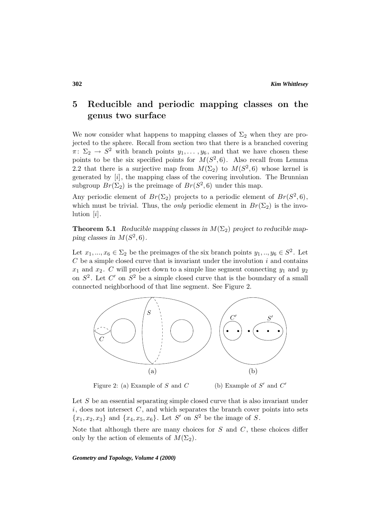# **5 Reducible and periodic mapping classes on the genus two surface**

We now consider what happens to mapping classes of  $\Sigma_2$  when they are projected to the sphere. Recall from section two that there is a branched covering  $\pi: \Sigma_2 \to S^2$  with branch points  $y_1, \ldots, y_6$ , and that we have chosen these points to be the six specified points for  $M(S^2, 6)$ . Also recall from Lemma 2.2 that there is a surjective map from  $M(\Sigma_2)$  to  $M(S^2, 6)$  whose kernel is generated by [i], the mapping class of the covering involution. The Brunnian subgroup  $Br(\Sigma_2)$  is the preimage of  $Br(S^2, 6)$  under this map.

Any periodic element of  $Br(\Sigma_2)$  projects to a periodic element of  $Br(S^2, 6)$ , which must be trivial. Thus, the *only* periodic element in  $Br(\Sigma_2)$  is the involution  $[i]$ .

**Theorem 5.1** *Reducible mapping classes in*  $M(\Sigma_2)$  *project to reducible mapping classes in*  $M(S^2, 6)$ *.* 

Let  $x_1, ..., x_6 \in \Sigma_2$  be the preimages of the six branch points  $y_1, ..., y_6 \in S^2$ . Let  $C$  be a simple closed curve that is invariant under the involution  $i$  and contains  $x_1$  and  $x_2$ . C will project down to a simple line segment connecting  $y_1$  and  $y_2$ on  $S^2$ . Let C' on  $S^2$  be a simple closed curve that is the boundary of a small connected neighborhood of that line segment. See Figure 2.



Figure 2: (a) Example of S and C (b) Example of S' and  $C'$ 

Let  $S$  be an essential separating simple closed curve that is also invariant under  $i$ , does not intersect  $C$ , and which separates the branch cover points into sets  ${x_1, x_2, x_3}$  and  ${x_4, x_5, x_6}$ . Let S' on S<sup>2</sup> be the image of S.

Note that although there are many choices for  $S$  and  $C$ , these choices differ only by the action of elements of  $M(\Sigma_2)$ .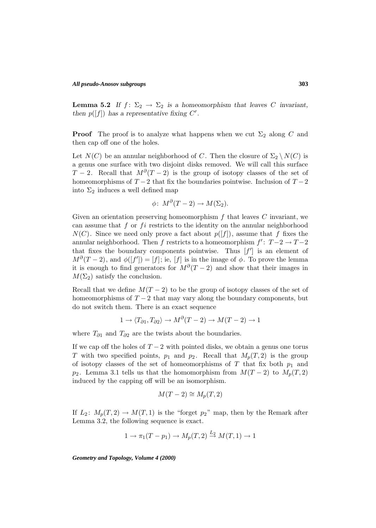**Lemma 5.2** *If*  $f: \Sigma_2 \to \Sigma_2$  *is a homeomorphism that leaves C invariant, then*  $p([f])$  *has a representative fixing C'.* 

**Proof** The proof is to analyze what happens when we cut  $\Sigma_2$  along C and then cap off one of the holes.

Let  $N(C)$  be an annular neighborhood of C. Then the closure of  $\Sigma_2 \setminus N(C)$  is a genus one surface with two disjoint disks removed. We will call this surface  $T-2$ . Recall that  $M^{\partial}(T-2)$  is the group of isotopy classes of the set of homeomorphisms of  $T-2$  that fix the boundaries pointwise. Inclusion of  $T-2$ into  $\Sigma_2$  induces a well defined map

$$
\phi\colon M^{\partial}(T-2)\to M(\Sigma_2).
$$

Given an orientation preserving homeomorphism  $f$  that leaves  $C$  invariant, we can assume that f or  $f_i$  restricts to the identity on the annular neighborhood  $N(C)$ . Since we need only prove a fact about  $p(|f|)$ , assume that f fixes the annular neighborhood. Then f restricts to a homeomorphism  $f' : T-2 \rightarrow T-2$ that fixes the boundary components pointwise. Thus  $[f']$  is an element of  $M^{\partial}(T-2)$ , and  $\phi([f']) = [f]$ ; ie, [f] is in the image of  $\phi$ . To prove the lemma it is enough to find generators for  $M^{\partial}(T-2)$  and show that their images in  $M(\Sigma_2)$  satisfy the conclusion.

Recall that we define  $M(T-2)$  to be the group of isotopy classes of the set of homeomorphisms of  $T-2$  that may vary along the boundary components, but do not switch them. There is an exact sequence

$$
1 \to \langle T_{\partial 1}, T_{\partial 2} \rangle \to M^{\partial}(T-2) \to M(T-2) \to 1
$$

where  $T_{\partial 1}$  and  $T_{\partial 2}$  are the twists about the boundaries.

If we cap off the holes of  $T-2$  with pointed disks, we obtain a genus one torus T with two specified points,  $p_1$  and  $p_2$ . Recall that  $M_p(T, 2)$  is the group of isotopy classes of the set of homeomorphisms of T that fix both  $p_1$  and  $p_2$ . Lemma 3.1 tells us that the homomorphism from  $M(T-2)$  to  $M_p(T, 2)$ induced by the capping off will be an isomorphism.

$$
M(T-2) \cong M_p(T,2)
$$

If  $L_2$ :  $M_p(T, 2) \rightarrow M(T, 1)$  is the "forget  $p_2$ " map, then by the Remark after Lemma 3.2, the following sequence is exact.

$$
1 \to \pi_1(T - p_1) \to M_p(T, 2) \stackrel{L_2}{\to} M(T, 1) \to 1
$$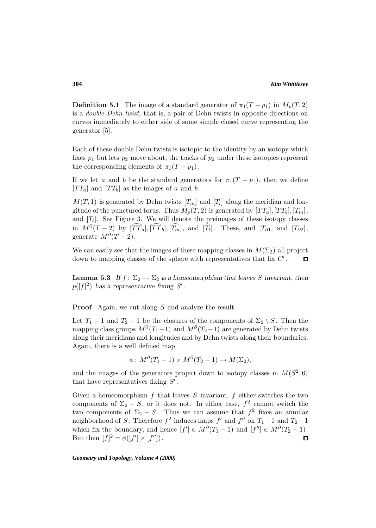**Definition 5.1** The image of a standard generator of  $\pi_1(T - p_1)$  in  $M_p(T, 2)$ is a double Dehn twist, that is, a pair of Dehn twists in opposite directions on curves immediately to either side of some simple closed curve representing the generator [5].

Each of these double Dehn twists is isotopic to the identity by an isotopy which fixes  $p_1$  but lets  $p_2$  move about; the tracks of  $p_2$  under these isotopies represent the corresponding elements of  $\pi_1(T - p_1)$ .

If we let a and b be the standard generators for  $\pi_1(T - p_1)$ , then we define  $TT_a$  and  $TT_b$  as the images of a and b.

 $M(T, 1)$  is generated by Dehn twists  $[T_m]$  and  $[T_l]$  along the meridian and longitude of the punctured torus. Thus  $M_p(T, 2)$  is generated by  $[TT_a]$ ,  $[TT_b]$ ,  $[T_n]$ , and  $[T_l]$ . See Figure 3. We will denote the preimages of these isotopy classes in  $M^{\partial}(T-2)$  by  $[T\overline{T}_a], [\overline{T} \overline{T}_b], [\overline{T}_m],$  and  $[\overline{T}_l]$ . These, and  $[T_{\partial 1}]$  and  $[T_{\partial 2}],$ generate  $M^{\partial}(T-2)$ .

We can easily see that the images of these mapping classes in  $M(\Sigma_2)$  all project down to mapping classes of the sphere with representatives that fix  $C'$ .  $\Box$ 

**Lemma 5.3** *If*  $f: \Sigma_2 \to \Sigma_2$  *is a homeomorphism that leaves* S *invariant, then*  $p([f]^2)$  has a representative fixing  $S'$ .

**Proof** Again, we cut along S and analyze the result.

Let  $T_1 - 1$  and  $T_2 - 1$  be the closures of the components of  $\Sigma_2 \setminus S$ . Then the mapping class groups  $M^{\partial}(T_1-1)$  and  $M^{\partial}(T_2-1)$  are generated by Dehn twists along their meridians and longitudes and by Dehn twists along their boundaries. Again, there is a well defined map

$$
\phi\colon M^{\partial}(T_1-1)\times M^{\partial}(T_2-1)\to M(\Sigma_2),
$$

and the images of the generators project down to isotopy classes in  $M(S^2, 6)$ that have representatives fixing  $S'$ .

Given a homeomorphism  $f$  that leaves  $S$  invariant,  $f$  either switches the two components of  $\Sigma_2 - S$ , or it does not. In either case,  $f^2$  cannot switch the two components of  $\Sigma_2 - S$ . Thus we can assume that  $f^2$  fixes an annular neighborhood of S. Therefore  $f^2$  induces maps  $f'$  and  $f''$  on  $T_1 - 1$  and  $T_2 - 1$ which fix the boundary, and hence  $[f'] \in M^{\partial}(T_1 - 1)$  and  $[f''] \in M^{\partial}(T_2 - 1)$ . But then  $[f]^2 = \phi([f'] \times [f''])$ .

*Geometry and Topology, Volume 4 (2000)*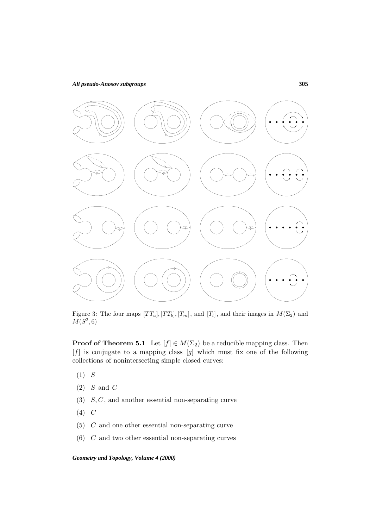#### *All pseudo-Anosov subgroups*



Figure 3: The four maps  $[TT_a], [TT_b], [T_m],$  and  $[T_l],$  and their images in  $M(\Sigma_2)$  and  ${\cal M}(S^2,6)$ 

**Proof of Theorem 5.1** Let  $[f] \in M(\Sigma_2)$  be a reducible mapping class. Then  $[f]$  is conjugate to a mapping class  $[g]$  which must fix one of the following collections of nonintersecting simple closed curves:

- $(1)$  S
- $(2)$  *S* and *C*
- $(3)$   $S, C$ , and another essential non-separating curve
- $(4)$  C
- (5) C and one other essential non-separating curve
- (6) C and two other essential non-separating curves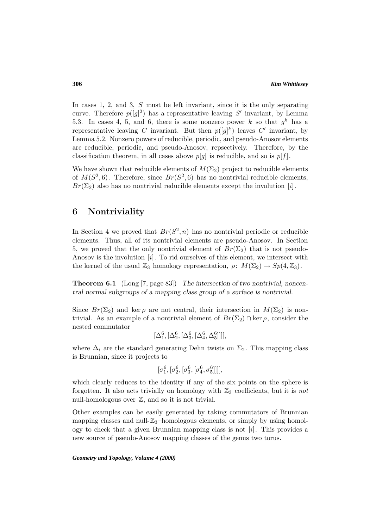In cases 1, 2, and 3, S must be left invariant, since it is the only separating curve. Therefore  $p([g]^2)$  has a representative leaving S' invariant, by Lemma 5.3. In cases 4, 5, and 6, there is some nonzero power k so that  $g^k$  has a representative leaving C invariant. But then  $p([g]^k)$  leaves C' invariant, by Lemma 5.2. Nonzero powers of reducible, periodic, and pseudo-Anosov elements are reducible, periodic, and pseudo-Anosov, repsectively. Therefore, by the classification theorem, in all cases above  $p[g]$  is reducible, and so is  $p[f]$ .

We have shown that reducible elements of  $M(\Sigma_2)$  project to reducible elements of  $M(S^2, 6)$ . Therefore, since  $Br(S^2, 6)$  has no nontrivial reducible elements,  $Br(\Sigma_2)$  also has no nontrivial reducible elements except the involution [i].

### **6 Nontriviality**

In Section 4 we proved that  $Br(S^2, n)$  has no nontrivial periodic or reducible elements. Thus, all of its nontrivial elements are pseudo-Anosov. In Section 5, we proved that the only nontrivial element of  $Br(\Sigma_2)$  that is not pseudo-Anosov is the involution [i]. To rid ourselves of this element, we intersect with the kernel of the usual  $\mathbb{Z}_3$  homology representation,  $\rho: M(\Sigma_2) \to Sp(4, \mathbb{Z}_3)$ .

**Theorem 6.1** (Long [7, page 83]) *The intersection of two nontrivial, noncentral normal subgroups of a mapping class group of a surface is nontrivial.*

Since  $Br(\Sigma_2)$  and ker  $\rho$  are not central, their intersection in  $M(\Sigma_2)$  is nontrivial. As an example of a nontrivial element of  $Br(\Sigma_2) \cap \text{ker } \rho$ , consider the nested commutator

$$
[\Delta^{6}_1, [\Delta^{6}_2, [\Delta^{6}_3, [\Delta^{6}_4, \Delta^{6}_5]]]],
$$

where  $\Delta_i$  are the standard generating Dehn twists on  $\Sigma_2$ . This mapping class is Brunnian, since it projects to

$$
[\sigma_1^6,[\sigma_2^6,[\sigma_3^6,[\sigma_4^6,\sigma_5^6]]]],
$$

which clearly reduces to the identity if any of the six points on the sphere is forgotten. It also acts trivially on homology with  $\mathbb{Z}_3$  coefficients, but it is not null-homologous over  $\mathbb{Z}$ , and so it is not trivial.

Other examples can be easily generated by taking commutators of Brunnian mapping classes and null- $\mathbb{Z}_3$ -homologous elements, or simply by using homology to check that a given Brunnian mapping class is not  $[i]$ . This provides a new source of pseudo-Anosov mapping classes of the genus two torus.

*Geometry and Topology, Volume 4 (2000)*